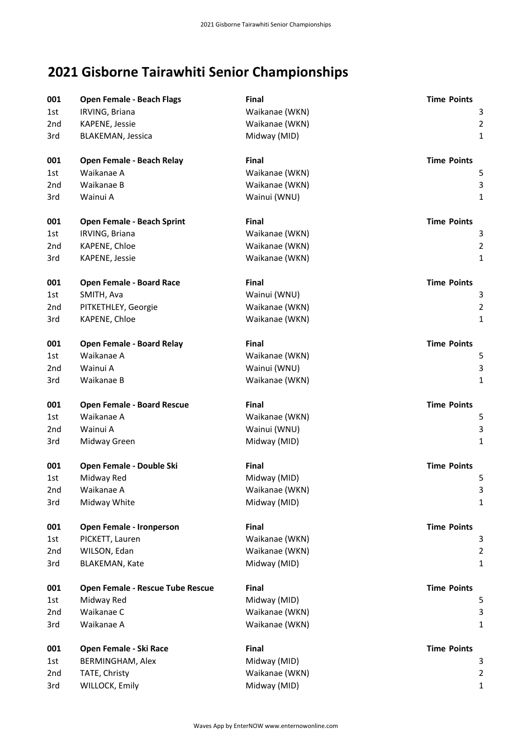## **2021 Gisborne Tairawhiti Senior Championships**

| 001             | Open Female - Beach Flags        | <b>Final</b>   | <b>Time Points</b> |
|-----------------|----------------------------------|----------------|--------------------|
| 1st             | IRVING, Briana                   | Waikanae (WKN) | 3                  |
| 2nd             | KAPENE, Jessie                   | Waikanae (WKN) | $\overline{2}$     |
| 3rd             | BLAKEMAN, Jessica                | Midway (MID)   | $\mathbf{1}$       |
| 001             | <b>Open Female - Beach Relay</b> | Final          | <b>Time Points</b> |
| 1st             | Waikanae A                       | Waikanae (WKN) | 5                  |
| 2nd             | Waikanae B                       | Waikanae (WKN) | 3                  |
| 3rd             | Wainui A                         | Wainui (WNU)   | $\mathbf{1}$       |
| 001             | Open Female - Beach Sprint       | Final          | <b>Time Points</b> |
| 1st             | IRVING, Briana                   | Waikanae (WKN) | 3                  |
| 2nd             | KAPENE, Chloe                    | Waikanae (WKN) | $\overline{2}$     |
| 3rd             | KAPENE, Jessie                   | Waikanae (WKN) | $\mathbf{1}$       |
| 001             | <b>Open Female - Board Race</b>  | <b>Final</b>   | <b>Time Points</b> |
| 1st             | SMITH, Ava                       | Wainui (WNU)   | 3                  |
| 2nd             | PITKETHLEY, Georgie              | Waikanae (WKN) | $\overline{2}$     |
| 3rd             | KAPENE, Chloe                    | Waikanae (WKN) | $\mathbf{1}$       |
| 001             | <b>Open Female - Board Relay</b> | Final          | <b>Time Points</b> |
| 1st             | Waikanae A                       | Waikanae (WKN) | 5                  |
| 2nd             | Wainui A                         | Wainui (WNU)   | 3                  |
| 3rd             | Waikanae B                       | Waikanae (WKN) | 1                  |
| 001             | Open Female - Board Rescue       | <b>Final</b>   | <b>Time Points</b> |
| 1st             | Waikanae A                       | Waikanae (WKN) | 5                  |
| 2nd             | Wainui A                         | Wainui (WNU)   | 3                  |
| 3rd             | Midway Green                     | Midway (MID)   | 1                  |
| 001             | Open Female - Double Ski         | <b>Final</b>   | <b>Time Points</b> |
| 1st             | Midway Red                       | Midway (MID)   | 5                  |
| 2 <sub>nd</sub> | Waikanae A                       | Waikanae (WKN) | 3                  |
| 3rd             | Midway White                     | Midway (MID)   | 1                  |
| 001             | Open Female - Ironperson         | Final          | <b>Time Points</b> |
| 1st             | PICKETT, Lauren                  | Waikanae (WKN) | 3                  |
| 2nd             | WILSON, Edan                     | Waikanae (WKN) | $\overline{2}$     |
| 3rd             | <b>BLAKEMAN, Kate</b>            | Midway (MID)   | $\mathbf{1}$       |
| 001             | Open Female - Rescue Tube Rescue | <b>Final</b>   | <b>Time Points</b> |
| 1st             | Midway Red                       | Midway (MID)   | 5                  |
| 2nd             | Waikanae C                       | Waikanae (WKN) | 3                  |
| 3rd             | Waikanae A                       | Waikanae (WKN) | 1                  |
| 001             | Open Female - Ski Race           | Final          | <b>Time Points</b> |
| 1st             | BERMINGHAM, Alex                 | Midway (MID)   | 3                  |
| 2nd             | TATE, Christy                    | Waikanae (WKN) | $\overline{2}$     |
| 3rd             | WILLOCK, Emily                   | Midway (MID)   | $\mathbf{1}$       |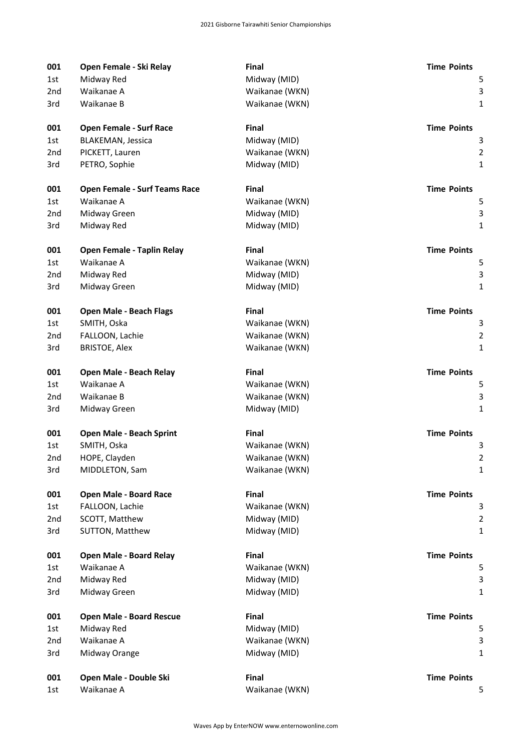| 001 | Open Female - Ski Relay              | Final          | <b>Time Points</b> |
|-----|--------------------------------------|----------------|--------------------|
| 1st | Midway Red                           | Midway (MID)   | 5                  |
| 2nd | Waikanae A                           | Waikanae (WKN) | 3                  |
| 3rd | Waikanae B                           | Waikanae (WKN) | $\mathbf 1$        |
| 001 | <b>Open Female - Surf Race</b>       | Final          | <b>Time Points</b> |
| 1st | <b>BLAKEMAN, Jessica</b>             | Midway (MID)   | 3                  |
| 2nd | PICKETT, Lauren                      | Waikanae (WKN) | $\overline{2}$     |
| 3rd | PETRO, Sophie                        | Midway (MID)   | $\mathbf{1}$       |
| 001 | <b>Open Female - Surf Teams Race</b> | Final          | <b>Time Points</b> |
| 1st | Waikanae A                           | Waikanae (WKN) | 5                  |
| 2nd | Midway Green                         | Midway (MID)   | 3                  |
| 3rd | Midway Red                           | Midway (MID)   | $\mathbf{1}$       |
| 001 | Open Female - Taplin Relay           | Final          | <b>Time Points</b> |
| 1st | Waikanae A                           | Waikanae (WKN) | 5                  |
| 2nd | Midway Red                           | Midway (MID)   | $\mathbf{3}$       |
| 3rd | Midway Green                         | Midway (MID)   | $\mathbf 1$        |
| 001 | <b>Open Male - Beach Flags</b>       | <b>Final</b>   | <b>Time Points</b> |
| 1st | SMITH, Oska                          | Waikanae (WKN) | 3                  |
| 2nd | FALLOON, Lachie                      | Waikanae (WKN) | $\overline{2}$     |
| 3rd | <b>BRISTOE, Alex</b>                 | Waikanae (WKN) | $\mathbf 1$        |
| 001 | Open Male - Beach Relay              | Final          | <b>Time Points</b> |
| 1st | Waikanae A                           | Waikanae (WKN) | 5                  |
| 2nd | Waikanae B                           | Waikanae (WKN) | 3                  |
| 3rd | Midway Green                         | Midway (MID)   | $\mathbf{1}$       |
| 001 | <b>Open Male - Beach Sprint</b>      | Final          | <b>Time Points</b> |
| 1st | SMITH, Oska                          | Waikanae (WKN) | 3                  |
| 2nd | HOPE, Clayden                        | Waikanae (WKN) | 2                  |
| 3rd | MIDDLETON, Sam                       | Waikanae (WKN) | $\mathbf 1$        |
| 001 | <b>Open Male - Board Race</b>        | Final          | <b>Time Points</b> |
| 1st | FALLOON, Lachie                      | Waikanae (WKN) | 3                  |
| 2nd | SCOTT, Matthew                       | Midway (MID)   | $\overline{2}$     |
| 3rd | SUTTON, Matthew                      | Midway (MID)   | 1                  |
| 001 | <b>Open Male - Board Relay</b>       | Final          | <b>Time Points</b> |
| 1st | Waikanae A                           | Waikanae (WKN) | 5                  |
| 2nd | Midway Red                           | Midway (MID)   | 3                  |
| 3rd | Midway Green                         | Midway (MID)   | 1                  |
| 001 | <b>Open Male - Board Rescue</b>      | Final          | <b>Time Points</b> |
| 1st | Midway Red                           | Midway (MID)   | 5                  |
| 2nd | Waikanae A                           | Waikanae (WKN) | 3                  |
| 3rd | Midway Orange                        | Midway (MID)   | $\mathbf{1}$       |
| 001 | Open Male - Double Ski               | Final          | <b>Time Points</b> |
| 1st | Waikanae A                           | Waikanae (WKN) | 5                  |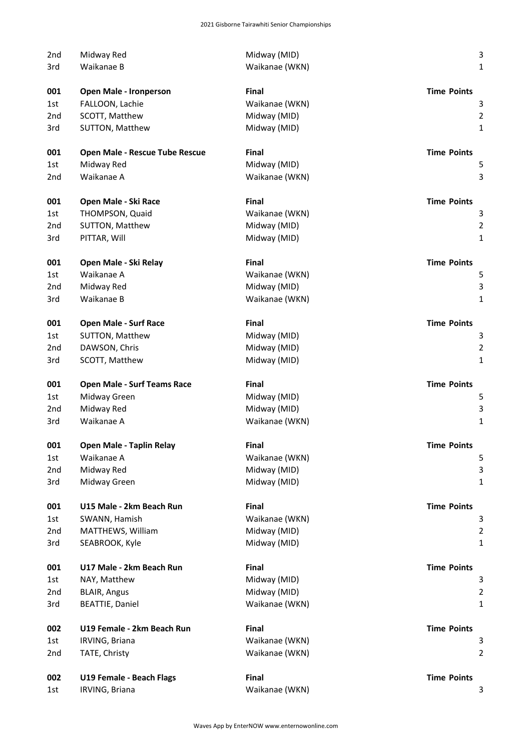| 2nd                    | Midway Red                         | Midway (MID)                 | 3                                       |
|------------------------|------------------------------------|------------------------------|-----------------------------------------|
| 3rd                    | Waikanae B                         | Waikanae (WKN)               | $\mathbf{1}$                            |
|                        |                                    |                              |                                         |
| 001                    | Open Male - Ironperson             | <b>Final</b>                 | <b>Time Points</b>                      |
| 1st                    | FALLOON, Lachie                    | Waikanae (WKN)               | 3                                       |
| 2 <sub>nd</sub>        | SCOTT, Matthew                     | Midway (MID)                 | $\overline{\mathbf{c}}$                 |
| 3rd                    | SUTTON, Matthew                    | Midway (MID)                 | $\mathbf{1}$                            |
| 001                    | Open Male - Rescue Tube Rescue     | <b>Final</b>                 | <b>Time Points</b>                      |
| 1st                    | Midway Red                         | Midway (MID)                 | 5                                       |
| 2nd                    | Waikanae A                         | Waikanae (WKN)               | 3                                       |
| 001                    | Open Male - Ski Race               | <b>Final</b>                 | <b>Time Points</b>                      |
| 1st                    | THOMPSON, Quaid                    | Waikanae (WKN)               | з                                       |
| 2nd                    | SUTTON, Matthew                    | Midway (MID)                 | $\overline{\mathbf{c}}$                 |
| 3rd                    | PITTAR, Will                       | Midway (MID)                 | $\mathbf{1}$                            |
| 001                    | Open Male - Ski Relay              | <b>Final</b>                 | <b>Time Points</b>                      |
| 1st                    | Waikanae A                         | Waikanae (WKN)               | 5                                       |
| 2 <sub>nd</sub>        | Midway Red                         | Midway (MID)                 | 3                                       |
| 3rd                    | Waikanae B                         | Waikanae (WKN)               | $\mathbf{1}$                            |
|                        |                                    | <b>Final</b>                 |                                         |
| 001<br>1st             | <b>Open Male - Surf Race</b>       |                              | <b>Time Points</b>                      |
|                        | SUTTON, Matthew                    | Midway (MID)                 | 3                                       |
| 2 <sub>nd</sub><br>3rd | DAWSON, Chris<br>SCOTT, Matthew    | Midway (MID)<br>Midway (MID) | $\overline{\mathbf{c}}$<br>$\mathbf{1}$ |
|                        |                                    |                              |                                         |
| 001                    | <b>Open Male - Surf Teams Race</b> | <b>Final</b>                 | <b>Time Points</b>                      |
| 1st                    | Midway Green                       | Midway (MID)                 | 5                                       |
| 2nd                    | Midway Red                         | Midway (MID)                 | 3                                       |
| 3rd                    | Waikanae A                         | Waikanae (WKN)               | $\mathbf{1}$                            |
| 001                    | Open Male - Taplin Relay           | Final                        | <b>Time Points</b>                      |
| 1st                    | Waikanae A                         | Waikanae (WKN)               | 5                                       |
| 2nd                    | Midway Red                         | Midway (MID)                 | 3                                       |
| 3rd                    | Midway Green                       | Midway (MID)                 | $\mathbf{1}$                            |
| 001                    | U15 Male - 2km Beach Run           | Final                        | <b>Time Points</b>                      |
| 1st                    | SWANN, Hamish                      | Waikanae (WKN)               | 3                                       |
| 2nd                    | MATTHEWS, William                  | Midway (MID)                 | $\overline{\mathbf{c}}$                 |
| 3rd                    | SEABROOK, Kyle                     | Midway (MID)                 | $\mathbf{1}$                            |
| 001                    | U17 Male - 2km Beach Run           | Final                        | <b>Time Points</b>                      |
| 1st                    | NAY, Matthew                       | Midway (MID)                 | 3                                       |
| 2nd                    | <b>BLAIR, Angus</b>                | Midway (MID)                 | $\overline{\mathbf{c}}$                 |
| 3rd                    | <b>BEATTIE, Daniel</b>             | Waikanae (WKN)               | $\mathbf{1}$                            |
| 002                    | U19 Female - 2km Beach Run         | <b>Final</b>                 | <b>Time Points</b>                      |
| 1st                    | IRVING, Briana                     | Waikanae (WKN)               | 3                                       |
| 2nd                    | TATE, Christy                      | Waikanae (WKN)               | $\overline{2}$                          |
| 002                    | U19 Female - Beach Flags           | Final                        | <b>Time Points</b>                      |
| 1st                    | IRVING, Briana                     | Waikanae (WKN)               | з                                       |
|                        |                                    |                              |                                         |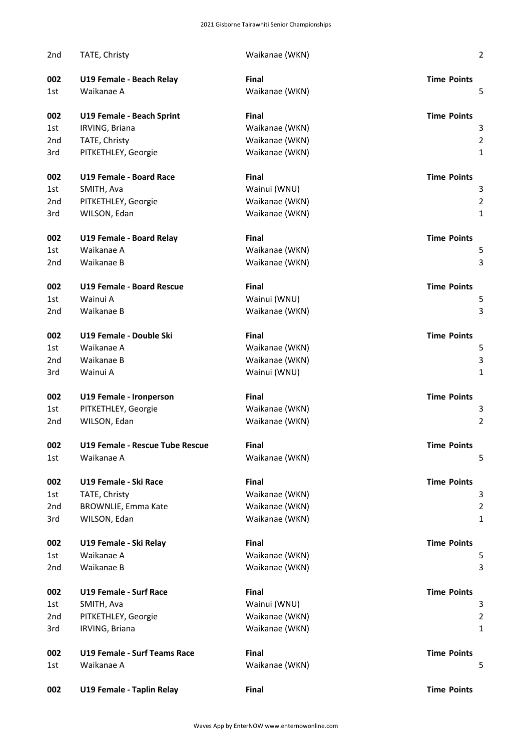| 2nd             | TATE, Christy                       | Waikanae (WKN) | $\overline{\mathbf{c}}$ |
|-----------------|-------------------------------------|----------------|-------------------------|
| 002             | U19 Female - Beach Relay            | <b>Final</b>   | <b>Time Points</b>      |
| 1st             | Waikanae A                          | Waikanae (WKN) | 5                       |
| 002             | U19 Female - Beach Sprint           | Final          | <b>Time Points</b>      |
| 1st             | IRVING, Briana                      | Waikanae (WKN) | 3                       |
| 2 <sub>nd</sub> | TATE, Christy                       | Waikanae (WKN) | $\overline{\mathbf{c}}$ |
| 3rd             | PITKETHLEY, Georgie                 | Waikanae (WKN) | $\mathbf{1}$            |
| 002             | U19 Female - Board Race             | Final          | <b>Time Points</b>      |
| 1st             | SMITH, Ava                          | Wainui (WNU)   |                         |
| 2nd             | PITKETHLEY, Georgie                 | Waikanae (WKN) | 2                       |
| 3rd             | WILSON, Edan                        | Waikanae (WKN) | 1                       |
| 002             | U19 Female - Board Relay            | <b>Final</b>   | <b>Time Points</b>      |
| 1st             | Waikanae A                          | Waikanae (WKN) | 5                       |
| 2nd             | Waikanae B                          | Waikanae (WKN) | З                       |
| 002             | <b>U19 Female - Board Rescue</b>    | Final          | <b>Time Points</b>      |
| 1st             | Wainui A                            | Wainui (WNU)   | 5                       |
| 2nd             | Waikanae B                          | Waikanae (WKN) | 3                       |
| 002             | U19 Female - Double Ski             | Final          | <b>Time Points</b>      |
| 1st             | Waikanae A                          | Waikanae (WKN) | 5                       |
| 2 <sub>nd</sub> | Waikanae B                          | Waikanae (WKN) |                         |
| 3rd             | Wainui A                            | Wainui (WNU)   | 1                       |
| 002             | U19 Female - Ironperson             | Final          | <b>Time Points</b>      |
| 1st             | PITKETHLEY, Georgie                 | Waikanae (WKN) |                         |
| 2nd             | WILSON, Edan                        | Waikanae (WKN) | 2                       |
| 002             | U19 Female - Rescue Tube Rescue     | <b>Final</b>   | <b>Time Points</b>      |
| 1st             | Waikanae A                          | Waikanae (WKN) | 5                       |
| 002             | U19 Female - Ski Race               | Final          | <b>Time Points</b>      |
| 1st             | TATE, Christy                       | Waikanae (WKN) |                         |
| 2nd             | <b>BROWNLIE, Emma Kate</b>          | Waikanae (WKN) | 2                       |
| 3rd             | WILSON, Edan                        | Waikanae (WKN) | 1                       |
| 002             | U19 Female - Ski Relay              | Final          | <b>Time Points</b>      |
| 1st             | Waikanae A                          | Waikanae (WKN) | 5                       |
| 2nd             | Waikanae B                          | Waikanae (WKN) | З                       |
| 002             | <b>U19 Female - Surf Race</b>       | Final          | <b>Time Points</b>      |
| 1st             | SMITH, Ava                          | Wainui (WNU)   | З                       |
| 2nd             | PITKETHLEY, Georgie                 | Waikanae (WKN) | $\overline{\mathbf{c}}$ |
| 3rd             | IRVING, Briana                      | Waikanae (WKN) | 1                       |
| 002             | <b>U19 Female - Surf Teams Race</b> | Final          | <b>Time Points</b>      |
| 1st             | Waikanae A                          | Waikanae (WKN) | 5                       |
| 002             | U19 Female - Taplin Relay           | Final          | <b>Time Points</b>      |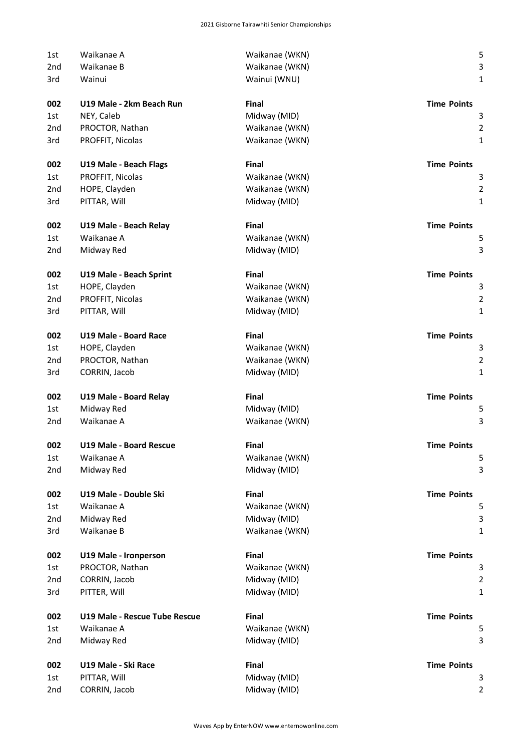| 1st             | Waikanae A                    | Waikanae (WKN) | 5                       |
|-----------------|-------------------------------|----------------|-------------------------|
| 2nd             | Waikanae B                    | Waikanae (WKN) | 3                       |
| 3rd             | Wainui                        | Wainui (WNU)   | $\mathbf{1}$            |
| 002             | U19 Male - 2km Beach Run      | Final          | <b>Time Points</b>      |
| 1st             | NEY, Caleb                    | Midway (MID)   | з                       |
| 2 <sub>nd</sub> | PROCTOR, Nathan               | Waikanae (WKN) | $\overline{\mathbf{c}}$ |
| 3rd             | PROFFIT, Nicolas              | Waikanae (WKN) | $\mathbf{1}$            |
| 002             | U19 Male - Beach Flags        | Final          | <b>Time Points</b>      |
| 1st             | PROFFIT, Nicolas              | Waikanae (WKN) | 3                       |
| 2nd             | HOPE, Clayden                 | Waikanae (WKN) | $\overline{c}$          |
| 3rd             | PITTAR, Will                  | Midway (MID)   | $\mathbf{1}$            |
| 002             | U19 Male - Beach Relay        | Final          | <b>Time Points</b>      |
| 1st             | Waikanae A                    | Waikanae (WKN) | 5                       |
| 2nd             | Midway Red                    | Midway (MID)   | 3                       |
| 002             | U19 Male - Beach Sprint       | Final          | <b>Time Points</b>      |
| 1st             | HOPE, Clayden                 | Waikanae (WKN) | 3                       |
| 2 <sub>nd</sub> | PROFFIT, Nicolas              | Waikanae (WKN) | $\overline{\mathbf{c}}$ |
| 3rd             | PITTAR, Will                  | Midway (MID)   | $\mathbf{1}$            |
| 002             | U19 Male - Board Race         | Final          | <b>Time Points</b>      |
| 1st             | HOPE, Clayden                 | Waikanae (WKN) | 3                       |
| 2nd             | PROCTOR, Nathan               | Waikanae (WKN) | $\overline{\mathbf{c}}$ |
| 3rd             | CORRIN, Jacob                 | Midway (MID)   | $\mathbf{1}$            |
| 002             | U19 Male - Board Relay        | Final          | <b>Time Points</b>      |
| 1st             | Midway Red                    | Midway (MID)   | 5                       |
| 2nd             | Waikanae A                    | Waikanae (WKN) | 3                       |
| 002             | U19 Male - Board Rescue       | Final          | <b>Time Points</b>      |
| 1st             | Waikanae A                    | Waikanae (WKN) | 5                       |
| 2nd             | Midway Red                    | Midway (MID)   | 3                       |
| 002             | U19 Male - Double Ski         | Final          | <b>Time Points</b>      |
| 1st             | Waikanae A                    | Waikanae (WKN) | 5                       |
| 2nd             | Midway Red                    | Midway (MID)   | 3                       |
| 3rd             | Waikanae B                    | Waikanae (WKN) | 1                       |
| 002             | U19 Male - Ironperson         | Final          | <b>Time Points</b>      |
| 1st             | PROCTOR, Nathan               | Waikanae (WKN) | 3                       |
| 2nd             | CORRIN, Jacob                 | Midway (MID)   | $\overline{\mathbf{c}}$ |
| 3rd             | PITTER, Will                  | Midway (MID)   | 1                       |
| 002             | U19 Male - Rescue Tube Rescue | Final          | <b>Time Points</b>      |
| 1st             | Waikanae A                    | Waikanae (WKN) | 5                       |
| 2nd             | Midway Red                    | Midway (MID)   | 3                       |
| 002             | U19 Male - Ski Race           | Final          | <b>Time Points</b>      |
| 1st             | PITTAR, Will                  | Midway (MID)   | 3                       |
| 2nd             | CORRIN, Jacob                 | Midway (MID)   | 2                       |
|                 |                               |                |                         |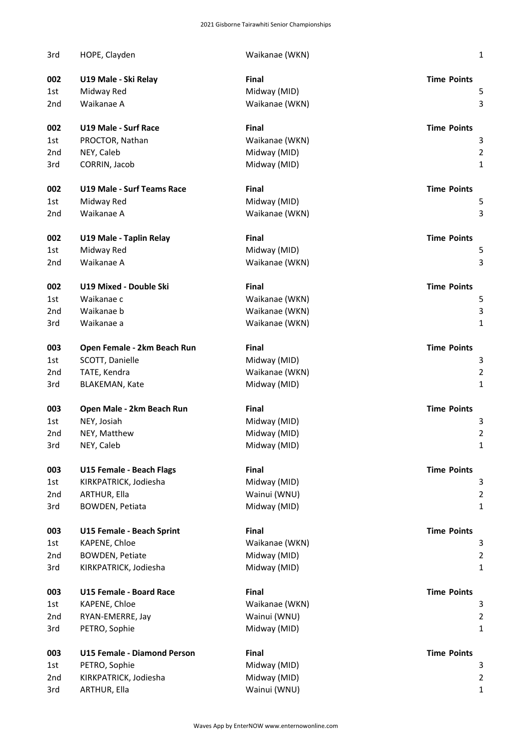| 3rd             | HOPE, Clayden                     | Waikanae (WKN) | $\mathbf 1$        |
|-----------------|-----------------------------------|----------------|--------------------|
| 002             | U19 Male - Ski Relay              | Final          | <b>Time Points</b> |
| 1st             | Midway Red                        | Midway (MID)   | 5                  |
| 2 <sub>nd</sub> | Waikanae A                        | Waikanae (WKN) | 3                  |
| 002             | <b>U19 Male - Surf Race</b>       | Final          | <b>Time Points</b> |
| 1st             | PROCTOR, Nathan                   | Waikanae (WKN) | 3                  |
| 2 <sub>nd</sub> | NEY, Caleb                        | Midway (MID)   | $\overline{2}$     |
| 3rd             | CORRIN, Jacob                     | Midway (MID)   | $\mathbf 1$        |
| 002             | <b>U19 Male - Surf Teams Race</b> | <b>Final</b>   | <b>Time Points</b> |
| 1st             | Midway Red                        | Midway (MID)   | 5                  |
| 2nd             | Waikanae A                        | Waikanae (WKN) | 3                  |
| 002             | U19 Male - Taplin Relay           | Final          | <b>Time Points</b> |
| 1st             | Midway Red                        | Midway (MID)   | 5                  |
| 2 <sub>nd</sub> | Waikanae A                        | Waikanae (WKN) | 3                  |
| 002             | U19 Mixed - Double Ski            | <b>Final</b>   | <b>Time Points</b> |
| 1st             | Waikanae c                        | Waikanae (WKN) | 5                  |
| 2nd             | Waikanae b                        | Waikanae (WKN) | 3                  |
| 3rd             | Waikanae a                        | Waikanae (WKN) | $\mathbf{1}$       |
| 003             | Open Female - 2km Beach Run       | Final          | <b>Time Points</b> |
| 1st             | SCOTT, Danielle                   | Midway (MID)   | 3                  |
| 2 <sub>nd</sub> | TATE, Kendra                      | Waikanae (WKN) | $\overline{2}$     |
| 3rd             | <b>BLAKEMAN, Kate</b>             | Midway (MID)   | $\mathbf{1}$       |
| 003             | Open Male - 2km Beach Run         | Final          | <b>Time Points</b> |
| 1st.            | NEY, Josiah                       | Midway (MID)   | 3                  |
| 2 <sub>nd</sub> | NEY, Matthew                      | Midway (MID)   | $\overline{2}$     |
| 3rd             | NEY, Caleb                        | Midway (MID)   | 1                  |
| 003             | U15 Female - Beach Flags          | Final          | <b>Time Points</b> |
| 1st             | KIRKPATRICK, Jodiesha             | Midway (MID)   | 3                  |
| 2 <sub>nd</sub> | ARTHUR, Ella                      | Wainui (WNU)   | $\overline{2}$     |
| 3rd             | <b>BOWDEN, Petiata</b>            | Midway (MID)   | $\mathbf{1}$       |
| 003             | U15 Female - Beach Sprint         | Final          | <b>Time Points</b> |
| 1st             | KAPENE, Chloe                     | Waikanae (WKN) | 3                  |
| 2 <sub>nd</sub> | <b>BOWDEN, Petiate</b>            | Midway (MID)   | $\overline{2}$     |
| 3rd             | KIRKPATRICK, Jodiesha             | Midway (MID)   | $\mathbf{1}$       |
| 003             | U15 Female - Board Race           | Final          | <b>Time Points</b> |
| 1st             | KAPENE, Chloe                     | Waikanae (WKN) | 3                  |
| 2 <sub>nd</sub> | RYAN-EMERRE, Jay                  | Wainui (WNU)   | $\overline{2}$     |
| 3rd             | PETRO, Sophie                     | Midway (MID)   | $\mathbf{1}$       |
| 003             | U15 Female - Diamond Person       | Final          | <b>Time Points</b> |
| 1st             | PETRO, Sophie                     | Midway (MID)   | 3                  |
| 2 <sub>nd</sub> | KIRKPATRICK, Jodiesha             | Midway (MID)   | $\overline{2}$     |
| 3rd             | ARTHUR, Ella                      | Wainui (WNU)   | $\mathbf 1$        |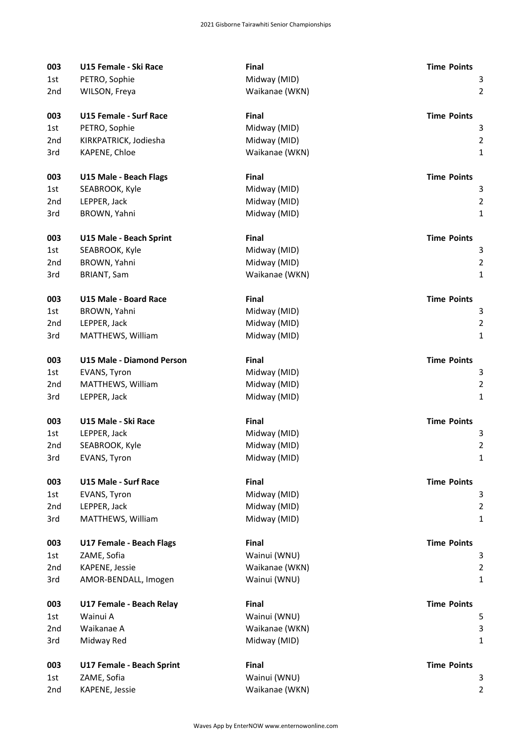| 003             | U15 Female - Ski Race            | Final          | <b>Time Points</b>             |
|-----------------|----------------------------------|----------------|--------------------------------|
| 1st             | PETRO, Sophie                    | Midway (MID)   | 3                              |
| 2nd             | WILSON, Freya                    | Waikanae (WKN) | $\overline{2}$                 |
| 003             | <b>U15 Female - Surf Race</b>    | <b>Final</b>   | <b>Time Points</b>             |
|                 |                                  |                | 3                              |
| 1st             | PETRO, Sophie                    | Midway (MID)   | $\overline{2}$                 |
| 2nd             | KIRKPATRICK, Jodiesha            | Midway (MID)   |                                |
| 3rd             | KAPENE, Chloe                    | Waikanae (WKN) | $\mathbf{1}$                   |
| 003             | U15 Male - Beach Flags           | Final          | <b>Time Points</b>             |
| 1st             | SEABROOK, Kyle                   | Midway (MID)   | 3                              |
| 2 <sub>nd</sub> | LEPPER, Jack                     | Midway (MID)   | $\overline{2}$                 |
| 3rd             | BROWN, Yahni                     | Midway (MID)   | $\mathbf{1}$                   |
| 003             | U15 Male - Beach Sprint          | Final          | <b>Time Points</b>             |
| 1st             | SEABROOK, Kyle                   | Midway (MID)   | 3                              |
| 2 <sub>nd</sub> | BROWN, Yahni                     | Midway (MID)   | $\overline{2}$                 |
| 3rd             | <b>BRIANT, Sam</b>               | Waikanae (WKN) | $\mathbf{1}$                   |
|                 |                                  |                |                                |
| 003             | <b>U15 Male - Board Race</b>     | <b>Final</b>   | <b>Time Points</b>             |
| 1st             | BROWN, Yahni                     | Midway (MID)   | 3                              |
| 2 <sub>nd</sub> | LEPPER, Jack                     | Midway (MID)   | $\overline{2}$                 |
| 3rd             | MATTHEWS, William                | Midway (MID)   | $\mathbf{1}$                   |
| 003             | <b>U15 Male - Diamond Person</b> | Final          | <b>Time Points</b>             |
| 1st             | EVANS, Tyron                     | Midway (MID)   | 3                              |
| 2 <sub>nd</sub> | MATTHEWS, William                | Midway (MID)   | $\overline{2}$                 |
| 3rd             | LEPPER, Jack                     | Midway (MID)   | $\mathbf{1}$                   |
| 003             | U15 Male - Ski Race              | Final          | <b>Time Points</b>             |
| 1st             | LEPPER, Jack                     | Midway (MID)   | 3                              |
| 2nd             | SEABROOK, Kyle                   | Midway (MID)   | $\overline{2}$                 |
| 3rd             | EVANS, Tyron                     | Midway (MID)   | 1                              |
| 003             | <b>U15 Male - Surf Race</b>      | Final          | <b>Time Points</b>             |
| 1st             | EVANS, Tyron                     | Midway (MID)   | 3                              |
| 2nd             | LEPPER, Jack                     | Midway (MID)   | $\overline{2}$                 |
| 3rd             | MATTHEWS, William                | Midway (MID)   | $\mathbf{1}$                   |
| 003             | U17 Female - Beach Flags         | <b>Final</b>   | <b>Time Points</b>             |
|                 | ZAME, Sofia                      | Wainui (WNU)   | 3                              |
| 1st             | KAPENE, Jessie                   | Waikanae (WKN) |                                |
| 2nd<br>3rd      | AMOR-BENDALL, Imogen             | Wainui (WNU)   | $\overline{2}$<br>$\mathbf{1}$ |
|                 |                                  |                |                                |
| 003             | U17 Female - Beach Relay         | Final          | <b>Time Points</b>             |
| 1st             | Wainui A                         | Wainui (WNU)   | 5                              |
| 2nd             | Waikanae A                       | Waikanae (WKN) | 3                              |
| 3rd             | Midway Red                       | Midway (MID)   | $\mathbf{1}$                   |
| 003             | U17 Female - Beach Sprint        | Final          | <b>Time Points</b>             |
| 1st             | ZAME, Sofia                      | Wainui (WNU)   | 3                              |
| 2nd             | KAPENE, Jessie                   | Waikanae (WKN) | $\overline{2}$                 |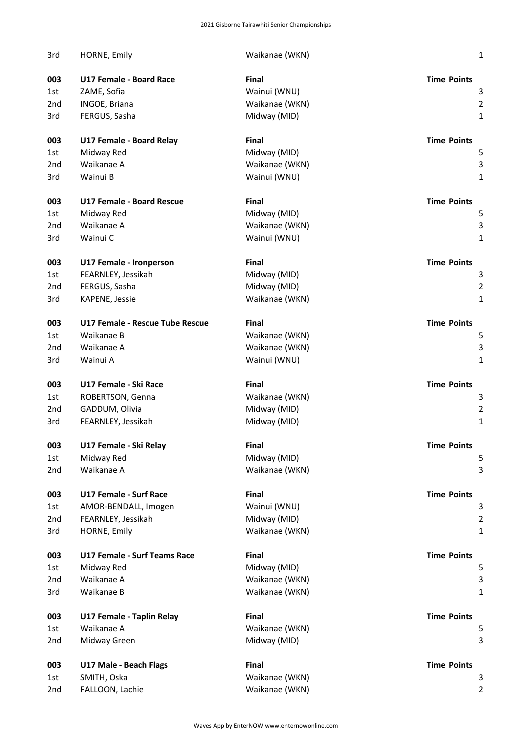| 3rd | HORNE, Emily                        | Waikanae (WKN) | 1                       |
|-----|-------------------------------------|----------------|-------------------------|
| 003 | <b>U17 Female - Board Race</b>      | Final          | <b>Time Points</b>      |
| 1st | ZAME, Sofia                         | Wainui (WNU)   | $\mathbf{3}$            |
| 2nd | INGOE, Briana                       | Waikanae (WKN) | $\overline{\mathbf{c}}$ |
| 3rd | FERGUS, Sasha                       | Midway (MID)   | 1                       |
| 003 | U17 Female - Board Relay            | Final          | <b>Time Points</b>      |
| 1st | Midway Red                          | Midway (MID)   | 5                       |
| 2nd | Waikanae A                          | Waikanae (WKN) | $\mathbf{B}$            |
| 3rd | Wainui B                            | Wainui (WNU)   | 1                       |
| 003 | <b>U17 Female - Board Rescue</b>    | Final          | <b>Time Points</b>      |
| 1st | Midway Red                          | Midway (MID)   | 5                       |
| 2nd | Waikanae A                          | Waikanae (WKN) |                         |
| 3rd | Wainui C                            | Wainui (WNU)   | 1                       |
| 003 | U17 Female - Ironperson             | Final          | <b>Time Points</b>      |
| 1st | FEARNLEY, Jessikah                  | Midway (MID)   | 3                       |
| 2nd | FERGUS, Sasha                       | Midway (MID)   | $\overline{\mathbf{c}}$ |
| 3rd | KAPENE, Jessie                      | Waikanae (WKN) | 1                       |
| 003 | U17 Female - Rescue Tube Rescue     | Final          | <b>Time Points</b>      |
| 1st | Waikanae B                          | Waikanae (WKN) | 5                       |
| 2nd | Waikanae A                          | Waikanae (WKN) | 3                       |
| 3rd | Wainui A                            | Wainui (WNU)   | 1                       |
| 003 | U17 Female - Ski Race               | Final          | <b>Time Points</b>      |
| 1st | ROBERTSON, Genna                    | Waikanae (WKN) | 3                       |
| 2nd | GADDUM, Olivia                      | Midway (MID)   | $\overline{\mathbf{c}}$ |
| 3rd | FEARNLEY, Jessikah                  | Midway (MID)   | $\mathbf{1}$            |
| 003 | U17 Female - Ski Relay              | Final          | <b>Time Points</b>      |
| 1st | Midway Red                          | Midway (MID)   | 5                       |
| 2nd | Waikanae A                          | Waikanae (WKN) | З                       |
| 003 | <b>U17 Female - Surf Race</b>       | Final          | <b>Time Points</b>      |
| 1st | AMOR-BENDALL, Imogen                | Wainui (WNU)   |                         |
| 2nd | FEARNLEY, Jessikah                  | Midway (MID)   |                         |
| 3rd | HORNE, Emily                        | Waikanae (WKN) | 1                       |
| 003 | <b>U17 Female - Surf Teams Race</b> | Final          | <b>Time Points</b>      |
| 1st | Midway Red                          | Midway (MID)   | 5                       |
| 2nd | Waikanae A                          | Waikanae (WKN) |                         |
| 3rd | Waikanae B                          | Waikanae (WKN) |                         |
| 003 | U17 Female - Taplin Relay           | Final          | <b>Time Points</b>      |
| 1st | Waikanae A                          | Waikanae (WKN) |                         |
| 2nd | Midway Green                        | Midway (MID)   | З                       |
| 003 | <b>U17 Male - Beach Flags</b>       | Final          | <b>Time Points</b>      |
| 1st | SMITH, Oska                         | Waikanae (WKN) |                         |
| 2nd | FALLOON, Lachie                     | Waikanae (WKN) |                         |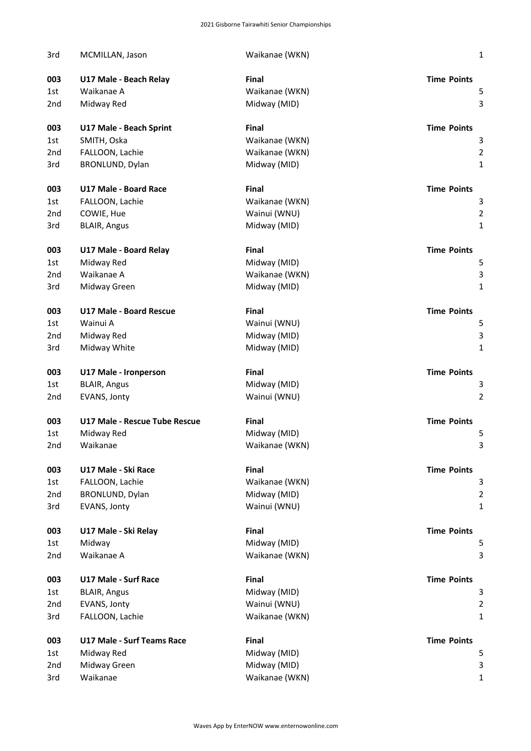| 3rd             | MCMILLAN, Jason                   | Waikanae (WKN) | 1                       |
|-----------------|-----------------------------------|----------------|-------------------------|
| 003             | U17 Male - Beach Relay            | <b>Final</b>   | <b>Time Points</b>      |
| 1st             | Waikanae A                        | Waikanae (WKN) | 5                       |
| 2 <sub>nd</sub> | Midway Red                        | Midway (MID)   | 3                       |
| 003             | U17 Male - Beach Sprint           | <b>Final</b>   | <b>Time Points</b>      |
| 1st             | SMITH, Oska                       | Waikanae (WKN) | 3                       |
| 2 <sub>nd</sub> | FALLOON, Lachie                   | Waikanae (WKN) | $\overline{2}$          |
| 3rd             | BRONLUND, Dylan                   | Midway (MID)   | $\mathbf{1}$            |
| 003             | <b>U17 Male - Board Race</b>      | <b>Final</b>   | <b>Time Points</b>      |
| 1st             | FALLOON, Lachie                   | Waikanae (WKN) | 3                       |
| 2nd             | COWIE, Hue                        | Wainui (WNU)   | $\overline{\mathbf{c}}$ |
| 3rd             | <b>BLAIR, Angus</b>               | Midway (MID)   | $\mathbf{1}$            |
| 003             | U17 Male - Board Relay            | Final          | <b>Time Points</b>      |
| 1st             | Midway Red                        | Midway (MID)   | 5                       |
| 2 <sub>nd</sub> | Waikanae A                        | Waikanae (WKN) | 3                       |
| 3rd             | Midway Green                      | Midway (MID)   | 1                       |
| 003             | <b>U17 Male - Board Rescue</b>    | <b>Final</b>   | <b>Time Points</b>      |
| 1st             | Wainui A                          | Wainui (WNU)   | 5                       |
| 2 <sub>nd</sub> | Midway Red                        | Midway (MID)   | 3                       |
| 3rd             | Midway White                      | Midway (MID)   | 1                       |
| 003             | U17 Male - Ironperson             | <b>Final</b>   | <b>Time Points</b>      |
| 1st             | <b>BLAIR, Angus</b>               | Midway (MID)   | 3                       |
| 2nd             | EVANS, Jonty                      | Wainui (WNU)   | 2                       |
| 003             | U17 Male - Rescue Tube Rescue     | <b>Final</b>   | <b>Time Points</b>      |
| 1st             | Midway Red                        | Midway (MID)   | 5                       |
| 2nd             | Waikanae                          | Waikanae (WKN) | 3                       |
| 003             | U17 Male - Ski Race               | Final          | <b>Time Points</b>      |
| 1st             | FALLOON, Lachie                   | Waikanae (WKN) | 3                       |
| 2 <sub>nd</sub> | BRONLUND, Dylan                   | Midway (MID)   | $\overline{\mathbf{c}}$ |
| 3rd             | EVANS, Jonty                      | Wainui (WNU)   | 1                       |
| 003             | U17 Male - Ski Relay              | Final          | <b>Time Points</b>      |
| 1st             | Midway                            | Midway (MID)   | 5                       |
| 2nd             | Waikanae A                        | Waikanae (WKN) | 3                       |
| 003             | <b>U17 Male - Surf Race</b>       | Final          | <b>Time Points</b>      |
| 1st             | <b>BLAIR, Angus</b>               | Midway (MID)   | 3                       |
| 2nd             | EVANS, Jonty                      | Wainui (WNU)   | $\overline{2}$          |
| 3rd             | FALLOON, Lachie                   | Waikanae (WKN) | $\mathbf{1}$            |
| 003             | <b>U17 Male - Surf Teams Race</b> | Final          | <b>Time Points</b>      |
| 1st             | Midway Red                        | Midway (MID)   | 5                       |
| 2 <sub>nd</sub> | Midway Green                      | Midway (MID)   | 3                       |
| 3rd             | Waikanae                          | Waikanae (WKN) | 1                       |
|                 |                                   |                |                         |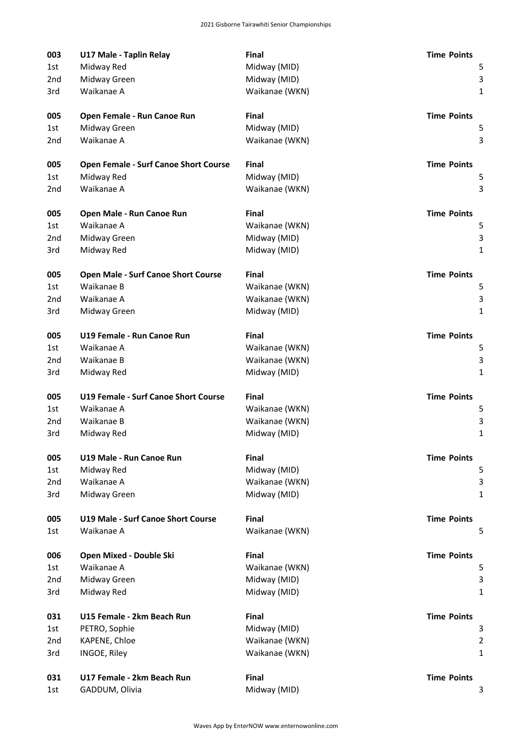| 003 | U17 Male - Taplin Relay                     | Final          | <b>Time Points</b> |
|-----|---------------------------------------------|----------------|--------------------|
| 1st | Midway Red                                  | Midway (MID)   | 5                  |
| 2nd | Midway Green                                | Midway (MID)   | 3                  |
| 3rd | Waikanae A                                  | Waikanae (WKN) | 1                  |
| 005 | Open Female - Run Canoe Run                 | Final          | <b>Time Points</b> |
| 1st | Midway Green                                | Midway (MID)   | 5                  |
| 2nd | Waikanae A                                  | Waikanae (WKN) | 3                  |
| 005 | Open Female - Surf Canoe Short Course       | Final          | <b>Time Points</b> |
| 1st | Midway Red                                  | Midway (MID)   | 5                  |
| 2nd | Waikanae A                                  | Waikanae (WKN) | 3                  |
| 005 | Open Male - Run Canoe Run                   | <b>Final</b>   | <b>Time Points</b> |
| 1st | Waikanae A                                  | Waikanae (WKN) | 5                  |
| 2nd | Midway Green                                | Midway (MID)   | 3                  |
| 3rd | Midway Red                                  | Midway (MID)   | $\mathbf{1}$       |
| 005 | <b>Open Male - Surf Canoe Short Course</b>  | <b>Final</b>   | <b>Time Points</b> |
| 1st | Waikanae B                                  | Waikanae (WKN) | 5                  |
| 2nd | Waikanae A                                  | Waikanae (WKN) | 3                  |
| 3rd | Midway Green                                | Midway (MID)   | $\mathbf{1}$       |
| 005 | U19 Female - Run Canoe Run                  | Final          | <b>Time Points</b> |
| 1st | Waikanae A                                  | Waikanae (WKN) | 5                  |
| 2nd | Waikanae B                                  | Waikanae (WKN) | 3                  |
| 3rd | Midway Red                                  | Midway (MID)   | 1                  |
| 005 | <b>U19 Female - Surf Canoe Short Course</b> | <b>Final</b>   | <b>Time Points</b> |
| 1st | Waikanae A                                  | Waikanae (WKN) | 5                  |
| 2nd | Waikanae B                                  | Waikanae (WKN) | 3                  |
| 3rd | Midway Red                                  | Midway (MID)   | $\mathbf{1}$       |
| 005 | U19 Male - Run Canoe Run                    | Final          | <b>Time Points</b> |
| 1st | Midway Red                                  | Midway (MID)   | 5                  |
| 2nd | Waikanae A                                  | Waikanae (WKN) | 3                  |
| 3rd | Midway Green                                | Midway (MID)   | 1                  |
| 005 | <b>U19 Male - Surf Canoe Short Course</b>   | Final          | <b>Time Points</b> |
| 1st | Waikanae A                                  | Waikanae (WKN) | 5                  |
| 006 | Open Mixed - Double Ski                     | Final          | <b>Time Points</b> |
| 1st | Waikanae A                                  | Waikanae (WKN) | 5                  |
| 2nd | Midway Green                                | Midway (MID)   | 3                  |
| 3rd | Midway Red                                  | Midway (MID)   | 1                  |
| 031 | U15 Female - 2km Beach Run                  | Final          | <b>Time Points</b> |
| 1st | PETRO, Sophie                               | Midway (MID)   | 3                  |
| 2nd | KAPENE, Chloe                               | Waikanae (WKN) | $\overline{2}$     |
| 3rd | INGOE, Riley                                | Waikanae (WKN) | 1                  |
| 031 | U17 Female - 2km Beach Run                  | Final          | <b>Time Points</b> |
| 1st | GADDUM, Olivia                              | Midway (MID)   | 3                  |